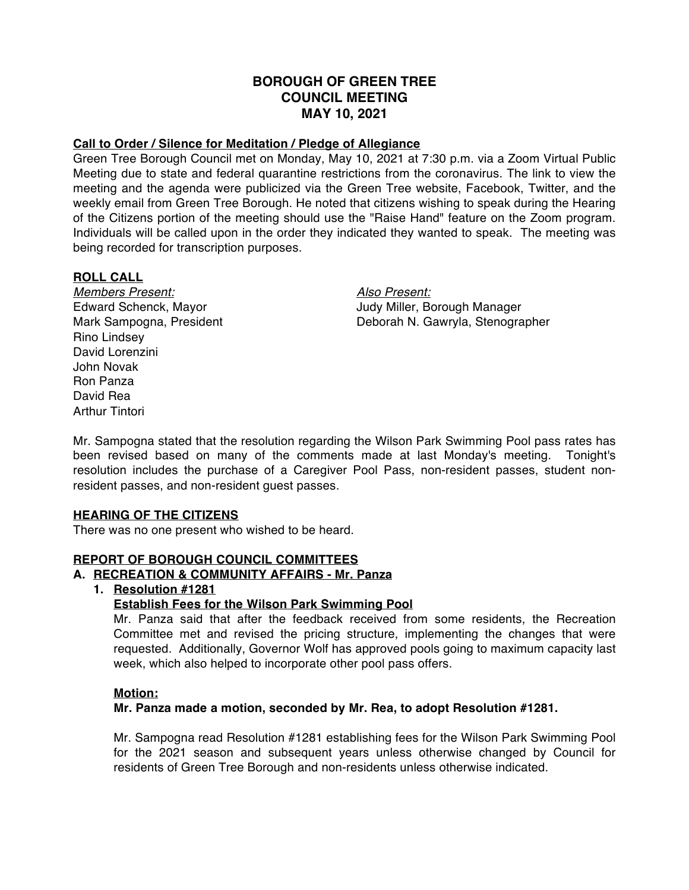# **BOROUGH OF GREEN TREE COUNCIL MEETING MAY 10, 2021**

# **Call to Order / Silence for Meditation / Pledge of Allegiance**

Green Tree Borough Council met on Monday, May 10, 2021 at 7:30 p.m. via a Zoom Virtual Public Meeting due to state and federal quarantine restrictions from the coronavirus. The link to view the meeting and the agenda were publicized via the Green Tree website, Facebook, Twitter, and the weekly email from Green Tree Borough. He noted that citizens wishing to speak during the Hearing of the Citizens portion of the meeting should use the "Raise Hand" feature on the Zoom program. Individuals will be called upon in the order they indicated they wanted to speak. The meeting was being recorded for transcription purposes.

# **ROLL CALL**

*Members Present: Also Present:* Rino Lindsey David Lorenzini John Novak Ron Panza David Rea Arthur Tintori

Edward Schenck, Mayor Judy Miller, Borough Manager Mark Sampogna, President Deborah N. Gawryla, Stenographer

Mr. Sampogna stated that the resolution regarding the Wilson Park Swimming Pool pass rates has been revised based on many of the comments made at last Monday's meeting. Tonight's resolution includes the purchase of a Caregiver Pool Pass, non-resident passes, student nonresident passes, and non-resident guest passes.

#### **HEARING OF THE CITIZENS**

There was no one present who wished to be heard.

# **REPORT OF BOROUGH COUNCIL COMMITTEES**

# **A. RECREATION & COMMUNITY AFFAIRS - Mr. Panza**

#### **1. Resolution #1281**

#### **Establish Fees for the Wilson Park Swimming Pool**

Mr. Panza said that after the feedback received from some residents, the Recreation Committee met and revised the pricing structure, implementing the changes that were requested. Additionally, Governor Wolf has approved pools going to maximum capacity last week, which also helped to incorporate other pool pass offers.

#### **Motion:**

#### **Mr. Panza made a motion, seconded by Mr. Rea, to adopt Resolution #1281.**

Mr. Sampogna read Resolution #1281 establishing fees for the Wilson Park Swimming Pool for the 2021 season and subsequent years unless otherwise changed by Council for residents of Green Tree Borough and non-residents unless otherwise indicated.